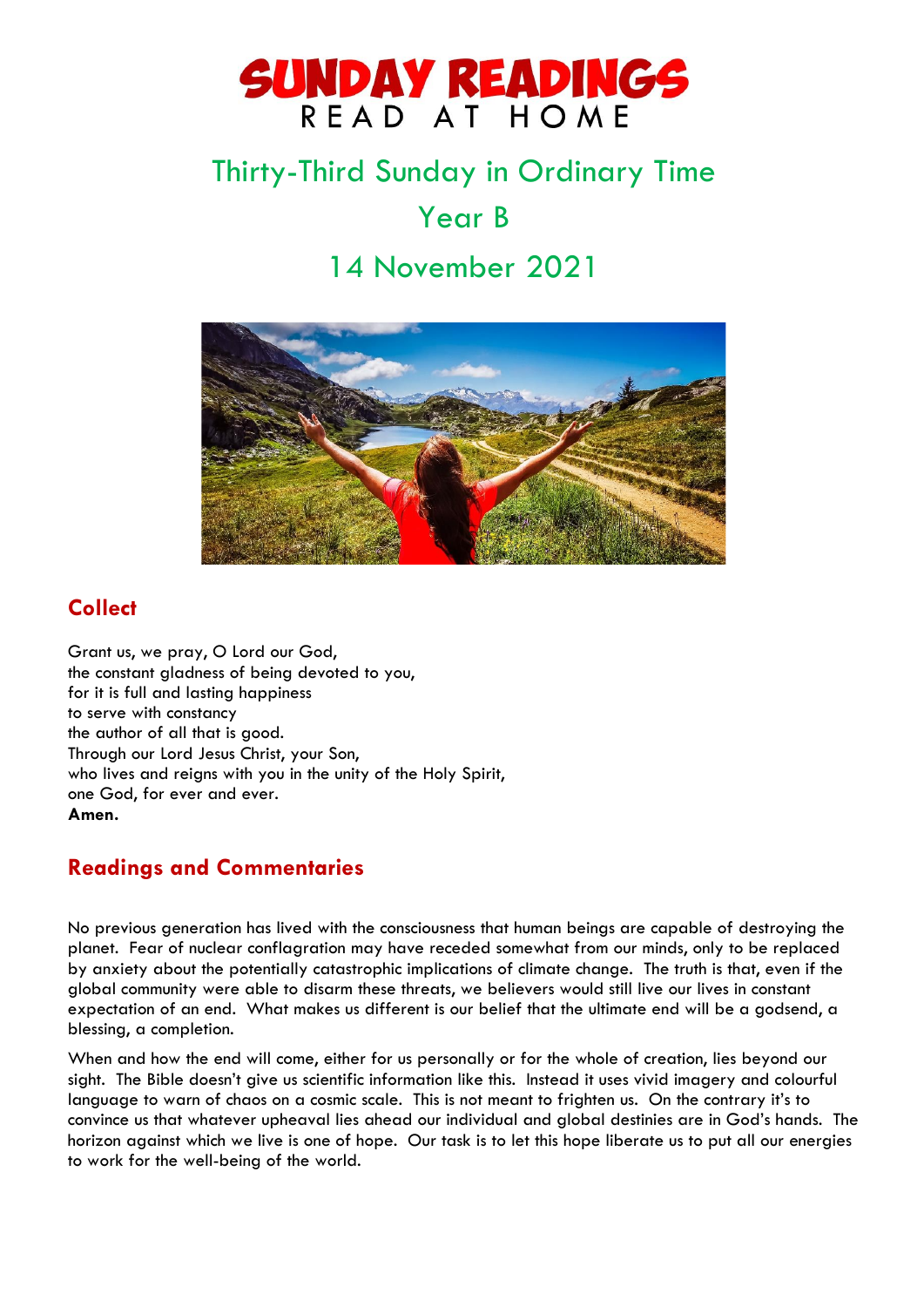

# Thirty-Third Sunday in Ordinary Time Year B

## 14 November 2021



## **Collect**

Grant us, we pray, O Lord our God, the constant gladness of being devoted to you, for it is full and lasting happiness to serve with constancy the author of all that is good. Through our Lord Jesus Christ, your Son, who lives and reigns with you in the unity of the Holy Spirit, one God, for ever and ever. **Amen.**

### **Readings and Commentaries**

No previous generation has lived with the consciousness that human beings are capable of destroying the planet. Fear of nuclear conflagration may have receded somewhat from our minds, only to be replaced by anxiety about the potentially catastrophic implications of climate change. The truth is that, even if the global community were able to disarm these threats, we believers would still live our lives in constant expectation of an end. What makes us different is our belief that the ultimate end will be a godsend, a blessing, a completion.

When and how the end will come, either for us personally or for the whole of creation, lies beyond our sight. The Bible doesn't give us scientific information like this. Instead it uses vivid imagery and colourful language to warn of chaos on a cosmic scale. This is not meant to frighten us. On the contrary it's to convince us that whatever upheaval lies ahead our individual and global destinies are in God's hands. The horizon against which we live is one of hope. Our task is to let this hope liberate us to put all our energies to work for the well-being of the world.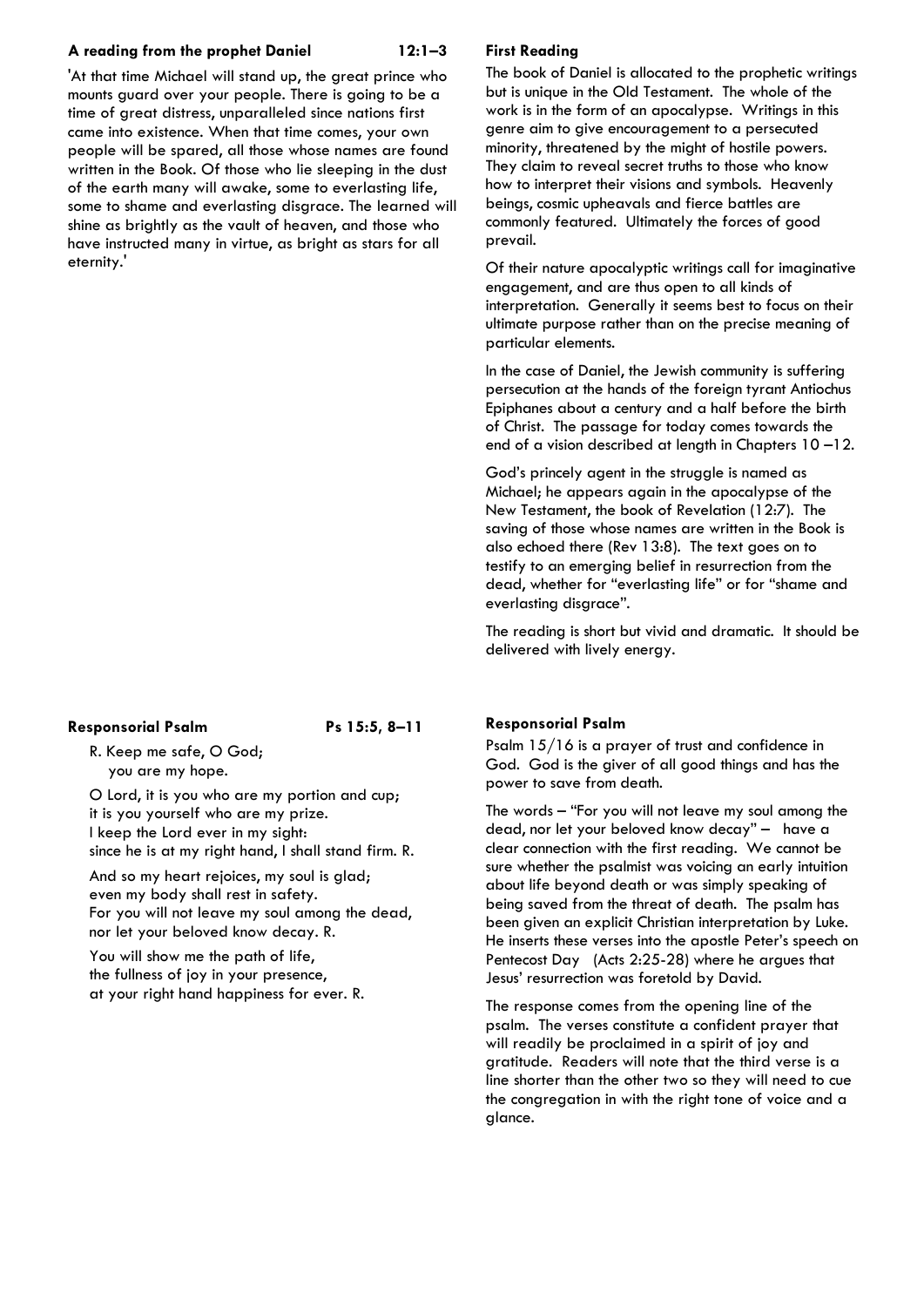#### **A reading from the prophet Daniel 12:1–3**

'At that time Michael will stand up, the great prince who mounts guard over your people. There is going to be a time of great distress, unparalleled since nations first came into existence. When that time comes, your own people will be spared, all those whose names are found written in the Book. Of those who lie sleeping in the dust of the earth many will awake, some to everlasting life, some to shame and everlasting disgrace. The learned will shine as brightly as the vault of heaven, and those who have instructed many in virtue, as bright as stars for all eternity.'

#### **Responsorial Psalm Ps 15:5, 8–11**

R. Keep me safe, O God; you are my hope.

O Lord, it is you who are my portion and cup; it is you yourself who are my prize. I keep the Lord ever in my sight: since he is at my right hand, I shall stand firm. R.

And so my heart rejoices, my soul is glad; even my body shall rest in safety. For you will not leave my soul among the dead, nor let your beloved know decay. R.

You will show me the path of life, the fullness of joy in your presence, at your right hand happiness for ever. R.

#### **First Reading**

The book of Daniel is allocated to the prophetic writings but is unique in the Old Testament. The whole of the work is in the form of an apocalypse. Writings in this genre aim to give encouragement to a persecuted minority, threatened by the might of hostile powers. They claim to reveal secret truths to those who know how to interpret their visions and symbols. Heavenly beings, cosmic upheavals and fierce battles are commonly featured. Ultimately the forces of good prevail.

Of their nature apocalyptic writings call for imaginative engagement, and are thus open to all kinds of interpretation. Generally it seems best to focus on their ultimate purpose rather than on the precise meaning of particular elements.

In the case of Daniel, the Jewish community is suffering persecution at the hands of the foreign tyrant Antiochus Epiphanes about a century and a half before the birth of Christ. The passage for today comes towards the end of a vision described at length in Chapters 10 –12.

God's princely agent in the struggle is named as Michael; he appears again in the apocalypse of the New Testament, the book of Revelation (12:7). The saving of those whose names are written in the Book is also echoed there (Rev 13:8). The text goes on to testify to an emerging belief in resurrection from the dead, whether for "everlasting life" or for "shame and everlasting disgrace".

The reading is short but vivid and dramatic. It should be delivered with lively energy.

#### **Responsorial Psalm**

Psalm 15/16 is a prayer of trust and confidence in God. God is the giver of all good things and has the power to save from death.

The words – "For you will not leave my soul among the dead, nor let your beloved know decay" – have a clear connection with the first reading. We cannot be sure whether the psalmist was voicing an early intuition about life beyond death or was simply speaking of being saved from the threat of death. The psalm has been given an explicit Christian interpretation by Luke. He inserts these verses into the apostle Peter's speech on Pentecost Day (Acts 2:25-28) where he argues that Jesus' resurrection was foretold by David.

The response comes from the opening line of the psalm. The verses constitute a confident prayer that will readily be proclaimed in a spirit of joy and gratitude. Readers will note that the third verse is a line shorter than the other two so they will need to cue the congregation in with the right tone of voice and a glance.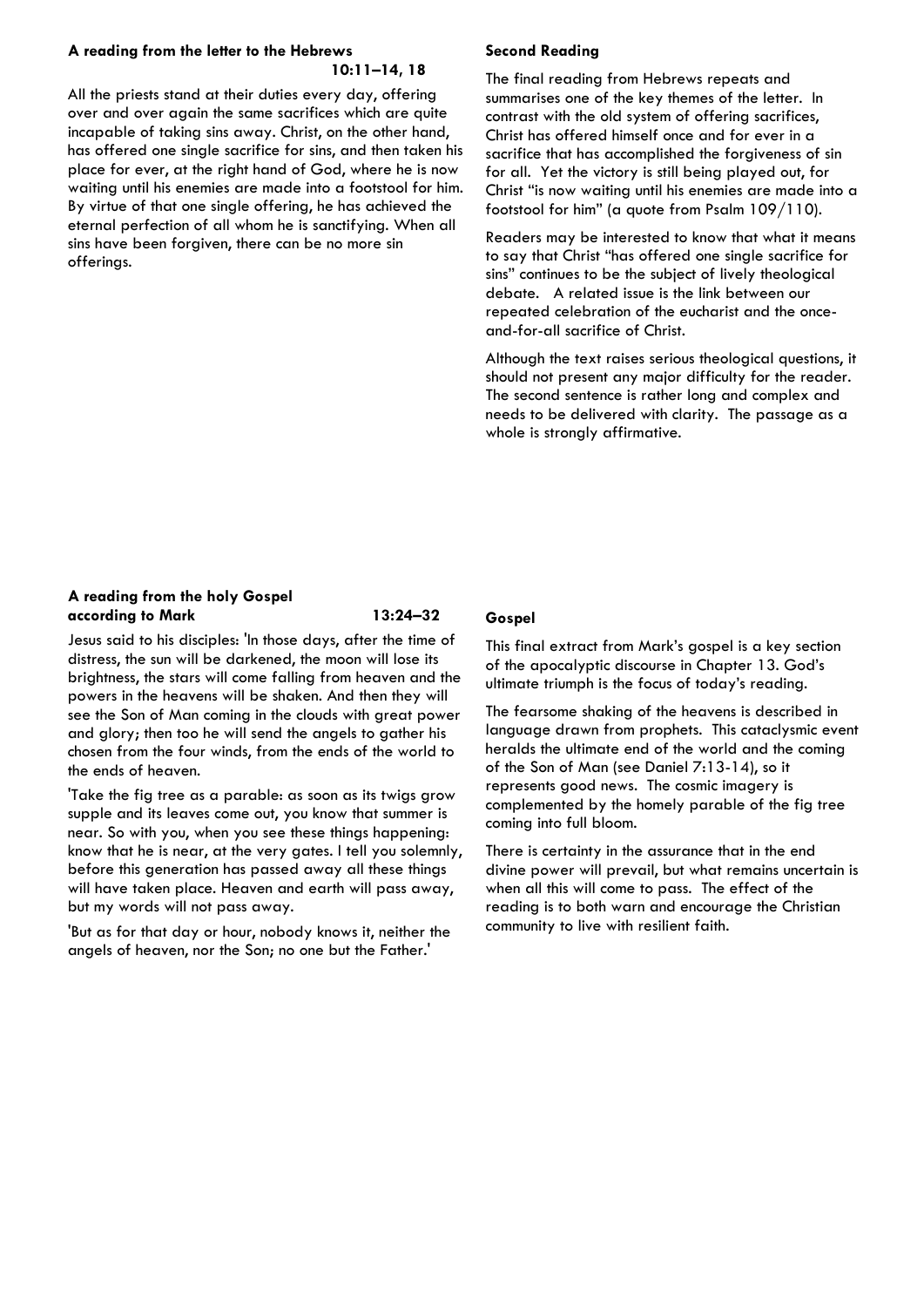#### **A reading from the letter to the Hebrews**

#### **10:11–14, 18**

All the priests stand at their duties every day, offering over and over again the same sacrifices which are quite incapable of taking sins away. Christ, on the other hand, has offered one single sacrifice for sins, and then taken his place for ever, at the right hand of God, where he is now waiting until his enemies are made into a footstool for him. By virtue of that one single offering, he has achieved the eternal perfection of all whom he is sanctifying. When all sins have been forgiven, there can be no more sin offerings.

#### **Second Reading**

The final reading from Hebrews repeats and summarises one of the key themes of the letter. In contrast with the old system of offering sacrifices, Christ has offered himself once and for ever in a sacrifice that has accomplished the forgiveness of sin for all. Yet the victory is still being played out, for Christ "is now waiting until his enemies are made into a footstool for him" (a quote from Psalm 109/110).

Readers may be interested to know that what it means to say that Christ "has offered one single sacrifice for sins" continues to be the subject of lively theological debate. A related issue is the link between our repeated celebration of the eucharist and the onceand-for-all sacrifice of Christ.

Although the text raises serious theological questions, it should not present any major difficulty for the reader. The second sentence is rather long and complex and needs to be delivered with clarity. The passage as a whole is strongly affirmative.

#### **A reading from the holy Gospel according to Mark 13:24–32**

Jesus said to his disciples: 'In those days, after the time of distress, the sun will be darkened, the moon will lose its brightness, the stars will come falling from heaven and the powers in the heavens will be shaken. And then they will see the Son of Man coming in the clouds with great power and glory; then too he will send the angels to gather his chosen from the four winds, from the ends of the world to the ends of heaven.

'Take the fig tree as a parable: as soon as its twigs grow supple and its leaves come out, you know that summer is near. So with you, when you see these things happening: know that he is near, at the very gates. I tell you solemnly, before this generation has passed away all these things will have taken place. Heaven and earth will pass away, but my words will not pass away.

'But as for that day or hour, nobody knows it, neither the angels of heaven, nor the Son; no one but the Father.'

### **Gospel**

This final extract from Mark's gospel is a key section of the apocalyptic discourse in Chapter 13. God's ultimate triumph is the focus of today's reading.

The fearsome shaking of the heavens is described in language drawn from prophets. This cataclysmic event heralds the ultimate end of the world and the coming of the Son of Man (see Daniel 7:13-14), so it represents good news. The cosmic imagery is complemented by the homely parable of the fig tree coming into full bloom.

There is certainty in the assurance that in the end divine power will prevail, but what remains uncertain is when all this will come to pass. The effect of the reading is to both warn and encourage the Christian community to live with resilient faith.